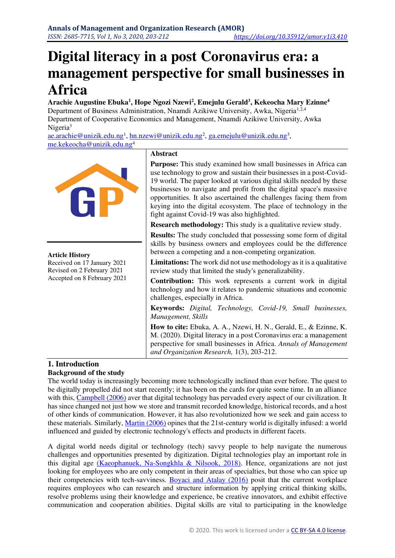# **Digital literacy in a post Coronavirus era: a management perspective for small businesses in Africa**

**Arachie Augustine Ebuka<sup>1</sup> , Hope Ngozi Nzewi<sup>2</sup> , Emejulu Gerald<sup>3</sup> , Kekeocha Mary Ezinne<sup>4</sup>** Department of Business Administration, Nnamdi Azikiwe University, Awka, Nigeria<sup>1,2,4</sup> Department of Cooperative Economics and Management, Nnamdi Azikiwe University, Awka Nigeria<sup>3</sup>

<u>[ae.arachie@unizik.edu.ng](mailto:ae.arachie@unizik.edu.ng)<sup>1</sup>, [hn.nzewi@unizik.edu.ng](mailto:hn.nzewi@unizik.edu.ng)<sup>2</sup>, [ga.emejulu@unizik.edu.ng](mailto:ga.emejulu@unizik.edu.ng)<sup>3</sup>,</u> [me.kekeocha@unizik.edu.ng](mailto:me.kekeocha@unizik.edu.ng)<sup>4</sup>



## **1. Introduction**

## **Background of the study**

The world today is increasingly becoming more technologically inclined than ever before. The quest to be digitally propelled did not start recently; it has been on the cards for quite some time. In an alliance with this, [Campbell \(2006\)](#page-8-0) aver that digital technology has pervaded every aspect of our civilization. It has since changed not just how we store and transmit recorded knowledge, historical records, and a host of other kinds of communication. However, it has also revolutionized how we seek and gain access to these materials. Similarly, [Martin \(2006\)](#page-9-0) opines that the 21st-century world is digitally infused: a world influenced and guided by electronic technology's effects and products in different facets.

A digital world needs digital or technology (tech) savvy people to help navigate the numerous challenges and opportunities presented by digitization. Digital technologies play an important role in this digital age [\(Kaeophanuek, Na-Songkhla & Nilsook, 2018\).](#page-9-1) Hence, organizations are not just looking for employees who are only competent in their areas of specialties, but those who can spice up their competencies with tech-savviness. [Boyaci and Atalay \(2016\)](#page-8-1) posit that the current workplace requires employees who can research and structure information by applying critical thinking skills, resolve problems using their knowledge and experience, be creative innovators, and exhibit effective communication and cooperation abilities. Digital skills are vital to participating in the knowledge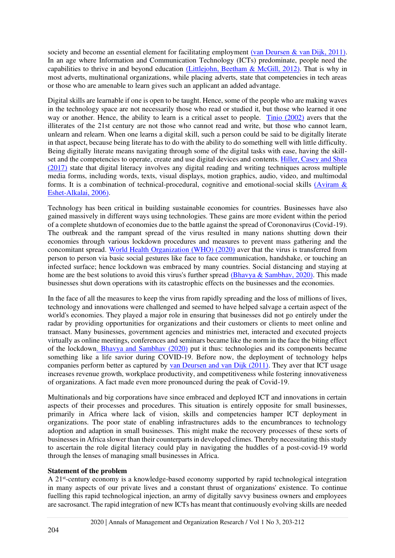society and become an essential element for facilitating employment [\(van Deursen & van Dijk, 2011\).](#page-9-2) In an age where Information and Communication Technology (ICTs) predominate, people need the capabilities to thrive in and beyond education [\(Littlejohn, Beetham & McGill, 2012\).](#page-9-3) That is why in most adverts, multinational organizations, while placing adverts, state that competencies in tech areas or those who are amenable to learn gives such an applicant an added advantage.

Digital skills are learnable if one is open to be taught. Hence, some of the people who are making waves in the technology space are not necessarily those who read or studied it, but those who learned it one way or another. Hence, the ability to learn is a critical asset to people. [Tinio \(2002\)](#page-9-4) avers that the illiterates of the 21st century are not those who cannot read and write, but those who cannot learn, unlearn and relearn. When one learns a digital skill, such a person could be said to be digitally literate in that aspect, because being literate has to do with the ability to do something well with little difficulty. Being digitally literate means navigating through some of the digital tasks with ease, having the skillset and the competencies to operate, create and use digital devices and contents. [Hiller, Casey and Shea](#page-8-2)  [\(2017\)](#page-8-2) state that digital literacy involves any digital reading and writing techniques across multiple media forms, including words, texts, visual displays, motion graphics, audio, video, and multimodal forms. It is a combination of technical-procedural, cognitive and emotional-social skills [\(Aviram &](#page-8-3)  [Eshet-Alkalai, 2006\).](#page-8-3)

Technology has been critical in building sustainable economies for countries. Businesses have also gained massively in different ways using technologies. These gains are more evident within the period of a complete shutdown of economies due to the battle against the spread of Corononavirus (Covid-19). The outbreak and the rampant spread of the virus resulted in many nations shutting down their economies through various lockdown procedures and measures to prevent mass gathering and the concomitant spread. [World Health Organization \(WHO\) \(2020\)](#page-9-5) aver that the virus is transferred from person to person via basic social gestures like face to face communication, handshake, or touching an infected surface; hence lockdown was embraced by many countries. Social distancing and staying at home are the best solutions to avoid this virus's further spread [\(Bhavya & Sambhav, 2020\).](#page-8-4) This made businesses shut down operations with its catastrophic effects on the businesses and the economies.

In the face of all the measures to keep the virus from rapidly spreading and the loss of millions of lives, technology and innovations were challenged and seemed to have helped salvage a certain aspect of the world's economies. They played a major role in ensuring that businesses did not go entirely under the radar by providing opportunities for organizations and their customers or clients to meet online and transact. Many businesses, government agencies and ministries met, interacted and executed projects virtually as online meetings, conferences and seminars became like the norm in the face the biting effect of the lockdow[n. Bhavya and Sambhav \(2020\)](#page-8-4) put it thus: technologies and its components became something like a life savior during COVID-19. Before now, the deployment of technology helps companies perform better as captured by [van Deursen and van Dijk \(2011\).](#page-9-2) They aver that ICT usage increases revenue growth, workplace productivity, and competitiveness while fostering innovativeness of organizations. A fact made even more pronounced during the peak of Covid-19.

Multinationals and big corporations have since embraced and deployed ICT and innovations in certain aspects of their processes and procedures. This situation is entirely opposite for small businesses, primarily in Africa where lack of vision, skills and competencies hamper ICT deployment in organizations. The poor state of enabling infrastructures adds to the encumbrances to technology adoption and adaption in small businesses. This might make the recovery processes of these sorts of businesses in Africa slower than their counterparts in developed climes. Thereby necessitating this study to ascertain the role digital literacy could play in navigating the huddles of a post-covid-19 world through the lenses of managing small businesses in Africa.

## **Statement of the problem**

A 21st-century economy is a knowledge-based economy supported by rapid technological integration in many aspects of our private lives and a constant thrust of organizations' existence. To continue fuelling this rapid technological injection, an army of digitally savvy business owners and employees are sacrosanct. The rapid integration of new ICTs has meant that continuously evolving skills are needed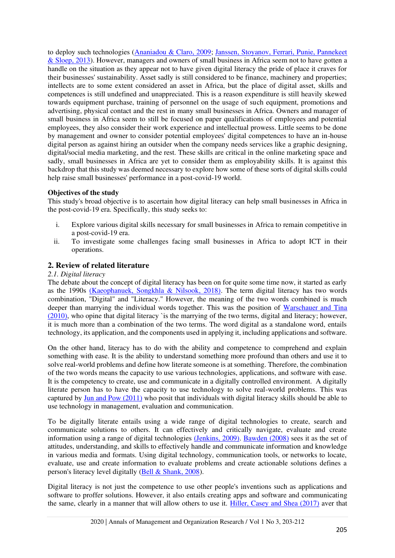to deploy such technologies [\(Ananiadou & Claro, 2009;](#page-8-5) [Janssen, Stoyanov, Ferrari, Punie, Pannekeet](#page-9-6)  [& Sloep, 2013\)](#page-9-6). However, managers and owners of small business in Africa seem not to have gotten a handle on the situation as they appear not to have given digital literacy the pride of place it craves for their businesses' sustainability. Asset sadly is still considered to be finance, machinery and properties; intellects are to some extent considered an asset in Africa, but the place of digital asset, skills and competences is still undefined and unappreciated. This is a reason expenditure is still heavily skewed towards equipment purchase, training of personnel on the usage of such equipment, promotions and advertising, physical contact and the rest in many small businesses in Africa. Owners and manager of small business in Africa seem to still be focused on paper qualifications of employees and potential employees, they also consider their work experience and intellectual prowess. Little seems to be done by management and owner to consider potential employees' digital competences to have an in-house digital person as against hiring an outsider when the company needs services like a graphic designing, digital/social media marketing, and the rest. These skills are critical in the online marketing space and sadly, small businesses in Africa are yet to consider them as employability skills. It is against this backdrop that this study was deemed necessary to explore how some of these sorts of digital skills could help raise small businesses' performance in a post-covid-19 world.

## **Objectives of the study**

This study's broad objective is to ascertain how digital literacy can help small businesses in Africa in the post-covid-19 era. Specifically, this study seeks to:

- i. Explore various digital skills necessary for small businesses in Africa to remain competitive in a post-covid-19 era.
- ii. To investigate some challenges facing small businesses in Africa to adopt ICT in their operations.

# **2. Review of related literature**

#### *2.1. Digital literacy*

The debate about the concept of digital literacy has been on for quite some time now, it started as early as the 1990s [\(Kaeophanuek, Songkhla & Nilsook, 2018\).](#page-9-1) The term digital literacy has two words combination, "Digital" and "Literacy." However, the meaning of the two words combined is much deeper than marrying the individual words together. This was the position of Warschauer and Tina [\(2010\),](#page-9-7) who opine that digital literacy `is the marrying of the two terms, digital and literacy; however, it is much more than a combination of the two terms. The word digital as a standalone word, entails technology, its application, and the components used in applying it, including applications and software.

On the other hand, literacy has to do with the ability and competence to comprehend and explain something with ease. It is the ability to understand something more profound than others and use it to solve real-world problems and define how literate someone is at something. Therefore, the combination of the two words means the capacity to use various technologies, applications, and software with ease. It is the competency to create, use and communicate in a digitally controlled environment. A digitally literate person has to have the capacity to use technology to solve real-world problems. This was captured by [Jun and Pow \(2011\)](#page-9-8) who posit that individuals with digital literacy skills should be able to use technology in management, evaluation and communication.

To be digitally literate entails using a wide range of digital technologies to create, search and communicate solutions to others. It can effectively and critically navigate, evaluate and create information using a range of digital technologies [\(Jenkins, 2009\).](#page-9-9) [Bawden \(2008\)](#page-8-6) sees it as the set of attitudes, understanding, and skills to effectively handle and communicate information and knowledge in various media and formats. Using digital technology, communication tools, or networks to locate, evaluate, use and create information to evaluate problems and create actionable solutions defines a person's literacy level digitally [\(Bell & Shank, 2008\)](#page-8-7).

Digital literacy is not just the competence to use other people's inventions such as applications and software to proffer solutions. However, it also entails creating apps and software and communicating the same, clearly in a manner that will allow others to use it. [Hiller, Casey and Shea \(2017\)](#page-8-2) aver that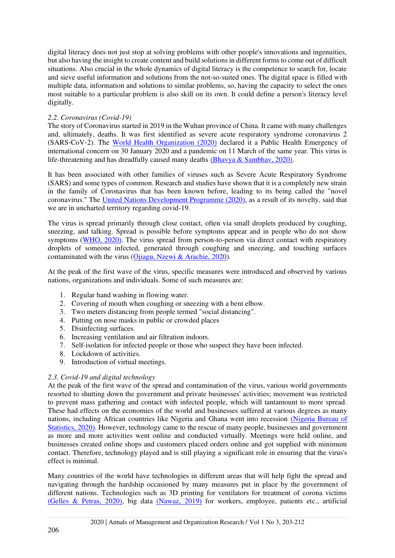digital literacy does not just stop at solving problems with other people's innovations and ingenuities, but also having the insight to create content and build solutions in different forms to come out of difficult situations. Also crucial in the whole dynamics of digital literacy is the competence to search for, locate and sieve useful information and solutions from the not-so-suited ones. The digital space is filled with multiple data, information and solutions to similar problems, so, having the capacity to select the ones most suitable to a particular problem is also skill on its own. It could define a person's literacy level digitally.

## *2.2. Coronavirus (Covid-19)*

The story of Coronavirus started in 2019 in the Wuhan province of China. It came with many challenges and, ultimately, deaths. It was first identified as severe acute respiratory syndrome coronavirus 2 (SARS‑CoV‑2). The [World Health Organization \(2020\)](#page-9-10) declared it a Public Health Emergency of international concern on 30 January 2020 and a pandemic on 11 March of the same year. This virus is life-threatening and has dreadfully caused many deaths [\(Bhavya & Sambhav, 2020\).](#page-8-4)

It has been associated with other families of viruses such as Severe Acute Respiratory Syndrome (SARS) and some types of common. Research and studies have shown that it is a completely new strain in the family of Coronavirus that has been known before, leading to its being called the "novel coronavirus." The [United Nations Development Programme \(2020\),](#page-9-11) as a result of its novelty, said that we are in uncharted territory regarding covid-19.

The virus is spread primarily through close contact, often via small droplets produced by coughing, sneezing, and talking. Spread is possible before symptoms appear and in people who do not show symptoms [\(WHO, 2020\).](#page-9-5) The virus spread from person-to-person via direct contact with respiratory droplets of someone infected, generated through coughing and sneezing, and touching surfaces contaminated with the virus [\(Ojiagu, Nzewi & Arachie, 2020\)](#page-9-12).

At the peak of the first wave of the virus, specific measures were introduced and observed by various nations, organizations and individuals. Some of such measures are:

- 1. Regular hand washing in flowing water.
- 2. Covering of mouth when coughing or sneezing with a bent elbow.
- 3. Two meters distancing from people termed "social distancing".
- 4. Putting on nose masks in public or crowded places
- 5. Disinfecting surfaces.
- 6. Increasing ventilation and air filtration indoors.
- 7. Self-isolation for infected people or those who suspect they have been infected.
- 8. Lockdown of activities.
- 9. Introduction of virtual meetings.

# *2.3. Covid-19 and digital technology*

At the peak of the first wave of the spread and contamination of the virus, various world governments resorted to shutting down the government and private businesses' activities; movement was restricted to prevent mass gathering and contact with infected people, which will tantamount to more spread. These had effects on the economies of the world and businesses suffered at various degrees as many nations, including African countries like Nigeria and Ghana went into recession [\(Nigeria Bureau of](https://www.nigerianstat.gov.ng/)  [Statistics, 2020\).](https://www.nigerianstat.gov.ng/) However, technology came to the rescue of many people, businesses and government as more and more activities went online and conducted virtually. Meetings were held online, and businesses created online shops and customers placed orders online and got supplied with minimum contact. Therefore, technology played and is still playing a significant role in ensuring that the virus's effect is minimal.

Many countries of the world have technologies in different areas that will help fight the spread and navigating through the hardship occasioned by many measures put in place by the government of different nations. Technologies such as 3D printing for ventilators for treatment of corona victims [\(Gelles & Petras, 2020\),](#page-8-8) big data [\(Nawaz, 2019\)](#page-9-13) for workers, employee, patients etc., artificial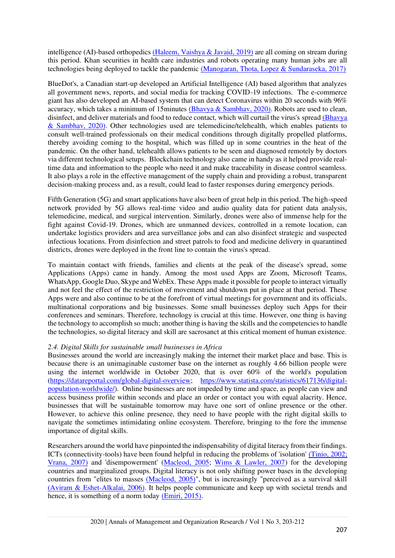intelligence (AI)-based orthopedics [\(Haleem, Vaishya & Javaid, 2019\)](#page-8-9) are all coming on stream during this period. Khan securities in health care industries and robots operating many human jobs are all technologies being deployed to tackle the pandemic [\(Manogaran, Thota, Lopez & Sundaraseka, 2017\)](#page-9-14) 

BlueDot's, a Canadian start-up developed an Artificial Intelligence (AI) based algorithm that analyzes all government news, reports, and social media for tracking COVID-19 infections. The e-commerce giant has also developed an AI-based system that can detect Coronavirus within 20 seconds with 96% accuracy, which takes a minimum of 15minutes [\(Bhavya & Sambhav, 2020\).](#page-8-4) Robots are used to clean, disinfect, and deliver materials and food to reduce contact, which will curtail the virus's spread [\(Bhavya](#page-8-4)  [& Sambhav, 2020\).](#page-8-4) Other technologies used are telemedicine/telehealth, which enables patients to consult well-trained professionals on their medical conditions through digitally propelled platforms, thereby avoiding coming to the hospital, which was filled up in some countries in the heat of the pandemic. On the other hand, telehealth allows patients to be seen and diagnosed remotely by doctors via different technological setups. Blockchain technology also came in handy as it helped provide realtime data and information to the people who need it and make traceability in disease control seamless. It also plays a role in the effective management of the supply chain and providing a robust, transparent decision-making process and, as a result, could lead to faster responses during emergency periods.

Fifth Generation (5G) and smart applications have also been of great help in this period. The high-speed network provided by 5G allows real-time video and audio quality data for patient data analysis, telemedicine, medical, and surgical intervention. Similarly, drones were also of immense help for the fight against Covid-19. Drones, which are unmanned devices, controlled in a remote location, can undertake logistics providers and area surveillance jobs and can also disinfect strategic and suspected infectious locations. From disinfection and street patrols to food and medicine delivery in quarantined districts, drones were deployed in the front line to contain the virus's spread.

To maintain contact with friends, families and clients at the peak of the disease's spread, some Applications (Apps) came in handy. Among the most used Apps are Zoom, Microsoft Teams, WhatsApp, Google Duo, Skype and WebEx. These Apps made it possible for people to interact virtually and not feel the effect of the restriction of movement and shutdown put in place at that period. These Apps were and also continue to be at the forefront of virtual meetings for government and its officials, multinational corporations and big businesses. Some small businesses deploy such Apps for their conferences and seminars. Therefore, technology is crucial at this time. However, one thing is having the technology to accomplish so much; another thing is having the skills and the competencies to handle the technologies, so digital literacy and skill are sacrosanct at this critical moment of human existence.

## *2.4. Digital Skills for sustainable small businesses in Africa*

Businesses around the world are increasingly making the internet their market place and base. This is because there is an unimaginable customer base on the internet as roughly 4.66 billion people were using the internet worldwide in October 2020, that is over 60% of the world's population [\(https://datareportal.com/global-digital-overview;](https://datareportal.com/global-digital-overview) [https://www.statista.com/statistics/617136/digital](https://www.statista.com/statistics/617136/digital-population-worldwide/)[population-worldwide/\)](https://www.statista.com/statistics/617136/digital-population-worldwide/).. Online businesses are not impeded by time and space, as people can view and access business profile within seconds and place an order or contact you with equal alacrity. Hence, businesses that will be sustainable tomorrow may have one sort of online presence or the other. However, to achieve this online presence, they need to have people with the right digital skills to navigate the sometimes intimidating online ecosystem. Therefore, bringing to the fore the immense importance of digital skills.

Researchers around the world have pinpointed the indispensability of digital literacy from their findings. ICTs (connectivity-tools) have been found helpful in reducing the problems of 'isolation' [\(Tinio, 2002;](#page-9-15)  [Vrana, 2007\)](#page-9-15) and 'disempowerment' [\(Macleod, 2005;](#page-9-16) [Wims & Lawler, 2007\)](#page-9-17) for the developing countries and marginalized groups. Digital literacy is not only shifting power bases in the developing countries from "elites to masses [\(Macleod, 2005\)"](#page-9-16), but is increasingly "perceived as a survival skill [\(Aviram & Eshet-Alkalai, 2006\).](#page-8-3) It helps people communicate and keep up with societal trends and hence, it is something of a norm today [\(Emiri, 2015\).](#page-8-10)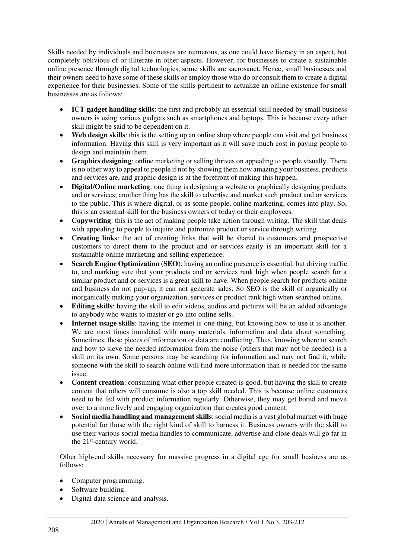Skills needed by individuals and businesses are numerous, as one could have literacy in an aspect, but completely oblivious of or illiterate in other aspects. However, for businesses to create a sustainable online presence through digital technologies, some skills are sacrosanct. Hence, small businesses and their owners need to have some of these skills or employ those who do or consult them to create a digital experience for their businesses. Some of the skills pertinent to actualize an online existence for small businesses are as follows:

- **ICT gadget handling skills**: the first and probably an essential skill needed by small business owners is using various gadgets such as smartphones and laptops. This is because every other skill might be said to be dependent on it.
- Web design skills: this is the setting up an online shop where people can visit and get business information. Having this skill is very important as it will save much cost in paying people to design and maintain them.
- **Graphics designing**: online marketing or selling thrives on appealing to people visually. There is no other way to appeal to people if not by showing them how amazing your business, products and services are, and graphic design is at the forefront of making this happen.
- **Digital/Online marketing**: one thing is designing a website or graphically designing products and or services; another thing has the skill to advertise and market such product and or services to the public. This is where digital, or as some people, online marketing, comes into play. So, this is an essential skill for the business owners of today or their employees.
- **Copywriting**: this is the act of making people take action through writing. The skill that deals with appealing to people to inquire and patronize product or service through writing.
- **Creating links**: the act of creating links that will be shared to customers and prospective customers to direct them to the product and or services easily is an important skill for a sustainable online marketing and selling experience.
- **Search Engine Optimization (SEO)**: having an online presence is essential, but driving traffic to, and marking sure that your products and or services rank high when people search for a similar product and or services is a great skill to have. When people search for products online and business do not pup-up, it can not generate sales. So SEO is the skill of organically or inorganically making your organization, services or product rank high when searched online.
- **Editing skills**: having the skill to edit videos, audios and pictures will be an added advantage to anybody who wants to master or go into online sells.
- **Internet usage skills**: having the internet is one thing, but knowing how to use it is another. We are most times inundated with many materials, information and data about something. Sometimes, these pieces of information or data are conflicting. Thus, knowing where to search and how to sieve the needed information from the noise (others that may not be needed) is a skill on its own. Some persons may be searching for information and may not find it, while someone with the skill to search online will find more information than is needed for the same issue.
- **Content creation**: consuming what other people created is good, but having the skill to create content that others will consume is also a top skill needed. This is because online customers need to be fed with product information regularly. Otherwise, they may get bored and move over to a more lively and engaging organization that creates good content.
- **Social media handling and management skills**: social media is a vast global market with huge potential for those with the right kind of skill to harness it. Business owners with the skill to use their various social media handles to communicate, advertise and close deals will go far in the 21<sup>st</sup>-century world.

Other high-end skills necessary for massive progress in a digital age for small business are as follows:

- Computer programming.
- Software building.
- Digital data science and analysis.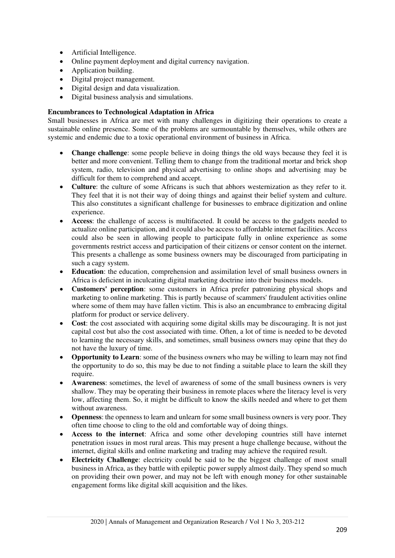- Artificial Intelligence.
- Online payment deployment and digital currency navigation.
- Application building.
- Digital project management.
- Digital design and data visualization.
- Digital business analysis and simulations.

## **Encumbrances to Technological Adaptation in Africa**

Small businesses in Africa are met with many challenges in digitizing their operations to create a sustainable online presence. Some of the problems are surmountable by themselves, while others are systemic and endemic due to a toxic operational environment of business in Africa.

- **Change challenge**: some people believe in doing things the old ways because they feel it is better and more convenient. Telling them to change from the traditional mortar and brick shop system, radio, television and physical advertising to online shops and advertising may be difficult for them to comprehend and accept.
- **Culture**: the culture of some Africans is such that abhors westernization as they refer to it. They feel that it is not their way of doing things and against their belief system and culture. This also constitutes a significant challenge for businesses to embrace digitization and online experience.
- **Access**: the challenge of access is multifaceted. It could be access to the gadgets needed to actualize online participation, and it could also be access to affordable internet facilities. Access could also be seen in allowing people to participate fully in online experience as some governments restrict access and participation of their citizens or censor content on the internet. This presents a challenge as some business owners may be discouraged from participating in such a cagy system.
- **Education**: the education, comprehension and assimilation level of small business owners in Africa is deficient in inculcating digital marketing doctrine into their business models.
- **Customers' perception**: some customers in Africa prefer patronizing physical shops and marketing to online marketing. This is partly because of scammers' fraudulent activities online where some of them may have fallen victim. This is also an encumbrance to embracing digital platform for product or service delivery.
- Cost: the cost associated with acquiring some digital skills may be discouraging. It is not just capital cost but also the cost associated with time. Often, a lot of time is needed to be devoted to learning the necessary skills, and sometimes, small business owners may opine that they do not have the luxury of time.
- **Opportunity to Learn**: some of the business owners who may be willing to learn may not find the opportunity to do so, this may be due to not finding a suitable place to learn the skill they require.
- **Awareness**: sometimes, the level of awareness of some of the small business owners is very shallow. They may be operating their business in remote places where the literacy level is very low, affecting them. So, it might be difficult to know the skills needed and where to get them without awareness.
- **Openness**: the openness to learn and unlearn for some small business owners is very poor. They often time choose to cling to the old and comfortable way of doing things.
- **Access to the internet**: Africa and some other developing countries still have internet penetration issues in most rural areas. This may present a huge challenge because, without the internet, digital skills and online marketing and trading may achieve the required result.
- **Electricity Challenge**: electricity could be said to be the biggest challenge of most small business in Africa, as they battle with epileptic power supply almost daily. They spend so much on providing their own power, and may not be left with enough money for other sustainable engagement forms like digital skill acquisition and the likes.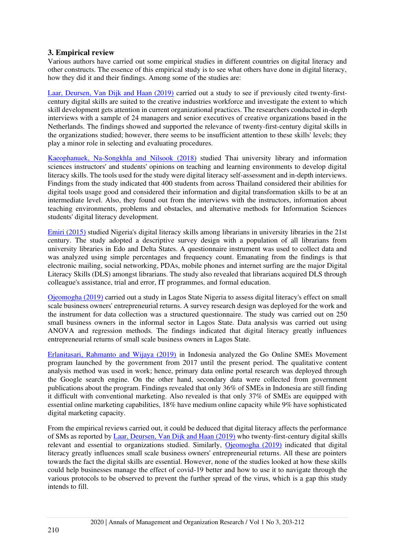# **3. Empirical review**

Various authors have carried out some empirical studies in different countries on digital literacy and other constructs. The essence of this empirical study is to see what others have done in digital literacy, how they did it and their findings. Among some of the studies are:

[Laar, Deursen, Van Dijk and Haan \(2019\)](#page-9-18) carried out a study to see if previously cited twenty-firstcentury digital skills are suited to the creative industries workforce and investigate the extent to which skill development gets attention in current organizational practices. The researchers conducted in-depth interviews with a sample of 24 managers and senior executives of creative organizations based in the Netherlands. The findings showed and supported the relevance of twenty-first-century digital skills in the organizations studied; however, there seems to be insufficient attention to these skills' levels; they play a minor role in selecting and evaluating procedures.

[Kaeophanuek, Na-Songkhla and Nilsook \(2018\)](#page-9-1) studied Thai university library and information sciences instructors' and students' opinions on teaching and learning environments to develop digital literacy skills. The tools used for the study were digital literacy self-assessment and in-depth interviews. Findings from the study indicated that 400 students from across Thailand considered their abilities for digital tools usage good and considered their information and digital transformation skills to be at an intermediate level. Also, they found out from the interviews with the instructors, information about teaching environments, problems and obstacles, and alternative methods for Information Sciences students' digital literacy development.

[Emiri \(2015\)](#page-8-10) studied Nigeria's digital literacy skills among librarians in university libraries in the 21st century. The study adopted a descriptive survey design with a population of all librarians from university libraries in Edo and Delta States. A questionnaire instrument was used to collect data and was analyzed using simple percentages and frequency count. Emanating from the findings is that electronic mailing, social networking, PDAs, mobile phones and internet surfing are the major Digital Literacy Skills (DLS) amongst librarians. The study also revealed that librarians acquired DLS through colleague's assistance, trial and error, IT programmes, and formal education.

[Ojeomogha \(2019\)](#page-9-19) carried out a study in Lagos State Nigeria to assess digital literacy's effect on small scale business owners' entrepreneurial returns. A survey research design was deployed for the work and the instrument for data collection was a structured questionnaire. The study was carried out on 250 small business owners in the informal sector in Lagos State. Data analysis was carried out using ANOVA and regression methods. The findings indicated that digital literacy greatly influences entrepreneurial returns of small scale business owners in Lagos State.

[Erlanitasari, Rahmanto and Wijaya \(2019\)](#page-8-11) in Indonesia analyzed the Go Online SMEs Movement program launched by the government from 2017 until the present period. The qualitative content analysis method was used in work; hence, primary data online portal research was deployed through the Google search engine. On the other hand, secondary data were collected from government publications about the program. Findings revealed that only 36% of SMEs in Indonesia are still finding it difficult with conventional marketing. Also revealed is that only 37% of SMEs are equipped with essential online marketing capabilities, 18% have medium online capacity while 9% have sophisticated digital marketing capacity.

From the empirical reviews carried out, it could be deduced that digital literacy affects the performance of SMs as reported by [Laar, Deursen, Van Dijk and Haan \(2019\)](#page-9-18) who twenty-first-century digital skills relevant and essential to organizations studied. Similarly, [Ojeomogha \(2019\)](#page-9-19) indicated that digital literacy greatly influences small scale business owners' entrepreneurial returns. All these are pointers towards the fact the digital skills are essential. However, none of the studies looked at how these skills could help businesses manage the effect of covid-19 better and how to use it to navigate through the various protocols to be observed to prevent the further spread of the virus, which is a gap this study intends to fill.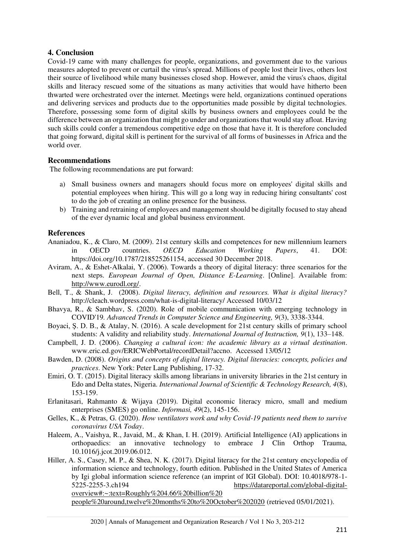# **4. Conclusion**

Covid-19 came with many challenges for people, organizations, and government due to the various measures adopted to prevent or curtail the virus's spread. Millions of people lost their lives, others lost their source of livelihood while many businesses closed shop. However, amid the virus's chaos, digital skills and literacy rescued some of the situations as many activities that would have hitherto been thwarted were orchestrated over the internet. Meetings were held, organizations continued operations and delivering services and products due to the opportunities made possible by digital technologies. Therefore, possessing some form of digital skills by business owners and employees could be the difference between an organization that might go under and organizations that would stay afloat. Having such skills could confer a tremendous competitive edge on those that have it. It is therefore concluded that going forward, digital skill is pertinent for the survival of all forms of businesses in Africa and the world over.

## **Recommendations**

The following recommendations are put forward:

- a) Small business owners and managers should focus more on employees' digital skills and potential employees when hiring. This will go a long way in reducing hiring consultants' cost to do the job of creating an online presence for the business.
- b) Training and retraining of employees and management should be digitally focused to stay ahead of the ever dynamic local and global business environment.

## **References**

- <span id="page-8-5"></span>Ananiadou, K., & Claro, M. (2009). 21st century skills and competences for new millennium learners in OECD countries. *OECD Education Working Papers*, 41. DOI: https://doi.org/10.1787/218525261154, accessed 30 December 2018.
- <span id="page-8-3"></span>Aviram, A., & Eshet-Alkalai, Y. (2006). Towards a theory of digital literacy: three scenarios for the next steps. *European Journal of Open, Distance E-Learning*. [Online]. Available from: [http://www.eurodl.org/.](http://www.eurodl.org/)
- <span id="page-8-7"></span>Bell, T., & Shank, J. (2008). *Digital literacy, definition and resources. What is digital literacy?* http://cleach.wordpress.com/what-is-digital-literacy/ Accessed 10/03/12
- <span id="page-8-4"></span>Bhavya, R., & Sambhav, S. (2020). Role of mobile communication with emerging technology in COVID'19*. Advanced Trends in Computer Science and Engineering, 9*(3), 3338-3344.
- <span id="page-8-1"></span>Boyaci, Ş. D. B., & Atalay, N. (2016). A scale development for 21st century skills of primary school students: A validity and reliability study. *International Journal of Instruction, 9*(1), 133–148.
- <span id="page-8-0"></span>Campbell, J. D. (2006). *Changing a cultural icon: the academic library as a virtual destination*. www.eric.ed.gov/ERICWebPortal/recordDetail?accno. Accessed 13/05/12
- <span id="page-8-6"></span>Bawden, D. (2008). *Origins and concepts of digital literacy. Digital literacies: concepts, policies and practices*. New York: Peter Lang Publishing, 17-32.
- <span id="page-8-10"></span>Emiri, O. T. (2015). Digital literacy skills among librarians in university libraries in the 21st century in Edo and Delta states, Nigeria. *International Journal of Scientific & Technology Research, 4*(8), 153-159.
- <span id="page-8-11"></span>Erlanitasari, Rahmanto & Wijaya (2019). Digital economic literacy micro, small and medium enterprises (SMES) go online. *Informasi, 49*(2), 145-156.
- <span id="page-8-8"></span>Gelles, K., & Petras, G. (2020). *How ventilators work and why Covid-19 patients need them to survive coronavirus USA Today*.
- <span id="page-8-9"></span>Haleem, A., Vaishya, R., Javaid, M., & Khan, I. H. (2019). Artificial Intelligence (AI) applications in orthopaedics: an innovative technology to embrace J Clin Orthop Trauma, 10.1016/j.jcot.2019.06.012.
- <span id="page-8-2"></span>Hiller, A. S., Casey, M. P., & Shea, N. K. (2017). Digital literacy for the 21st century encyclopedia of information science and technology, fourth edition. Published in the United States of America by Igi global information science reference (an imprint of IGI Global). DOI: 10.4018/978-1- 5225-2255-3.ch194 [https://datareportal.com/global-digital](https://datareportal.com/global-digital-overview#:~:text=Roughly%204.66%20billion%20 people%20around,twelve%20months%20to%20October%202020)[overview#:~:text=Roughly%204.66%20billion%20](https://datareportal.com/global-digital-overview#:~:text=Roughly%204.66%20billion%20 people%20around,twelve%20months%20to%20October%202020)  [people%20around,twelve%20months%20to%20October%202020](https://datareportal.com/global-digital-overview#:~:text=Roughly%204.66%20billion%20 people%20around,twelve%20months%20to%20October%202020) (retrieved 05/01/2021).

2020 | Annals of Management and Organization Research / Vol 1 No 3, 203-212